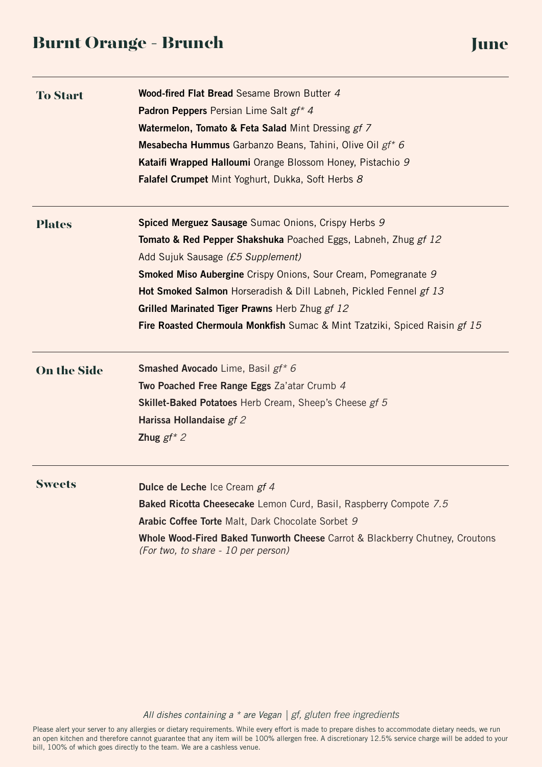## Burnt Orange - Brunch June

| <b>To Start</b>    | Wood-fired Flat Bread Sesame Brown Butter 4<br>Padron Peppers Persian Lime Salt gf* 4<br><b>Watermelon, Tomato &amp; Feta Salad Mint Dressing gf 7</b><br>Mesabecha Hummus Garbanzo Beans, Tahini, Olive Oil gf* 6<br>Kataifi Wrapped Halloumi Orange Blossom Honey, Pistachio 9<br>Falafel Crumpet Mint Yoghurt, Dukka, Soft Herbs 8                                                                                                    |
|--------------------|------------------------------------------------------------------------------------------------------------------------------------------------------------------------------------------------------------------------------------------------------------------------------------------------------------------------------------------------------------------------------------------------------------------------------------------|
| <b>Plates</b>      | Spiced Merguez Sausage Sumac Onions, Crispy Herbs 9<br>Tomato & Red Pepper Shakshuka Poached Eggs, Labneh, Zhug gf 12<br>Add Sujuk Sausage (£5 Supplement)<br><b>Smoked Miso Aubergine</b> Crispy Onions, Sour Cream, Pomegranate 9<br>Hot Smoked Salmon Horseradish & Dill Labneh, Pickled Fennel gf 13<br>Grilled Marinated Tiger Prawns Herb Zhug gf 12<br>Fire Roasted Chermoula Monkfish Sumac & Mint Tzatziki, Spiced Raisin gf 15 |
| <b>On the Side</b> | <b>Smashed Avocado</b> Lime, Basil gf* 6<br>Two Poached Free Range Eggs Za'atar Crumb 4<br>Skillet-Baked Potatoes Herb Cream, Sheep's Cheese gf 5<br>Harissa Hollandaise gf 2<br>Zhug $gf^*$ 2                                                                                                                                                                                                                                           |
| <b>Sweets</b>      | <b>Dulce de Leche</b> Ice Cream gf 4<br>Baked Ricotta Cheesecake Lemon Curd, Basil, Raspberry Compote 7.5<br>Arabic Coffee Torte Malt, Dark Chocolate Sorbet 9<br><b>Whole Wood-Fired Baked Tunworth Cheese</b> Carrot & Blackberry Chutney, Croutons<br>(For two, to share - 10 per person)                                                                                                                                             |

*All dishes containing a \* are Vegan | gf, gluten free ingredients*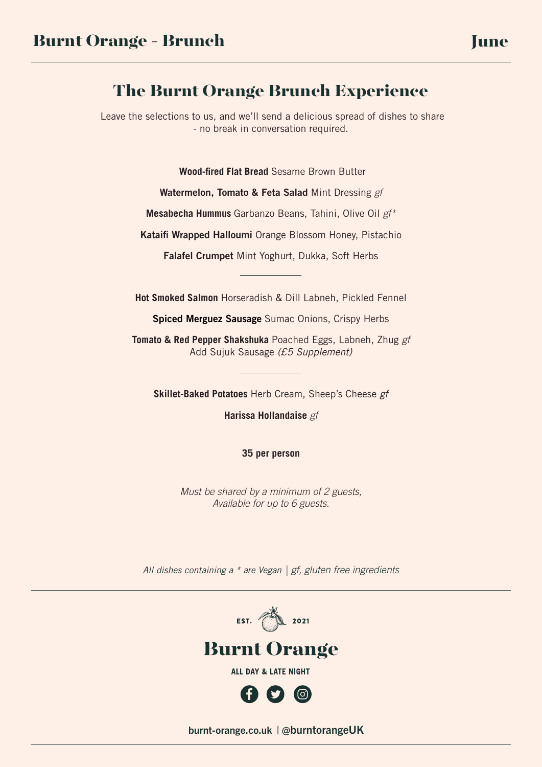## The Burnt Orange Brunch Experience

 Leave the selections to us, and we'll send a delicious spread of dishes to share - no break in conversation required.

**Wood-fired Flat Bread** Sesame Brown Butter

Watermelon, Tomato & Feta Salad Mint Dressing *gf*

**Mesabecha Hummus** Garbanzo Beans, Tahini, Olive Oil *gf\**

Kataifi Wrapped Halloumi Orange Blossom Honey, Pistachio

Falafel Crumpet Mint Yoghurt, Dukka, Soft Herbs

**Hot Smoked Salmon** Horseradish & Dill Labneh, Pickled Fennel

Spiced Merguez Sausage Sumac Onions, Crispy Herbs

**Tomato & Red Pepper Shakshuka** Poached Eggs, Labneh, Zhug *gf*  Add Sujuk Sausage *(£5 Supplement)*

**Skillet-Baked Potatoes** Herb Cream, Sheep's Cheese *gf*

**Harissa Hollandaise** *gf*

**35 per person**

*Must be shared by a minimum of 2 guests, Available for up to 6 guests.*

*All dishes containing a \* are Vegan | gf, gluten free ingredients*





**ALL DAY & LATE NIGHT** 



burnt-orange.co.uk | @burntorangeUK